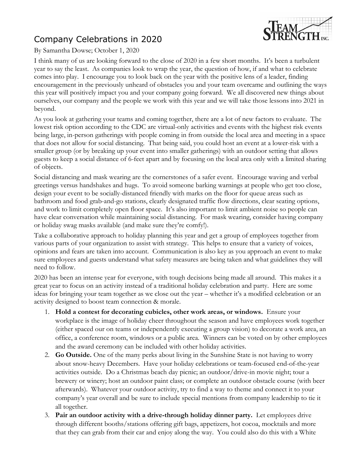## Company Celebrations in 2020



## By Samantha Dowse; October 1, 2020

I think many of us are looking forward to the close of 2020 in a few short months. It's been a turbulent year to say the least. As companies look to wrap the year, the question of how, if and what to celebrate comes into play. I encourage you to look back on the year with the positive lens of a leader, finding encouragement in the previously unheard of obstacles you and your team overcame and outlining the ways this year will positively impact you and your company going forward. We all discovered new things about ourselves, our company and the people we work with this year and we will take those lessons into 2021 in beyond.

As you look at gathering your teams and coming together, there are a lot of new factors to evaluate. The lowest risk option according to the CDC are virtual-only activities and events with the highest risk events being large, in-person gatherings with people coming in from outside the local area and meeting in a space that does not allow for social distancing. That being said, you could host an event at a lower-risk with a smaller group (or by breaking up your event into smaller gatherings) with an outdoor setting that allows guests to keep a social distance of 6-feet apart and by focusing on the local area only with a limited sharing of objects.

Social distancing and mask wearing are the cornerstones of a safer event. Encourage waving and verbal greetings versus handshakes and hugs. To avoid someone barking warnings at people who get too close, design your event to be socially-distanced friendly with marks on the floor for queue areas such as bathroom and food grab-and-go stations, clearly designated traffic flow directions, clear seating options, and work to limit completely open floor space. It's also important to limit ambient noise so people can have clear conversation while maintaining social distancing. For mask wearing, consider having company or holiday swag masks available (and make sure they're comfy!).

Take a collaborative approach to holiday planning this year and get a group of employees together from various parts of your organization to assist with strategy. This helps to ensure that a variety of voices, opinions and fears are taken into account. Communication is also key as you approach an event to make sure employees and guests understand what safety measures are being taken and what guidelines they will need to follow.

2020 has been an intense year for everyone, with tough decisions being made all around. This makes it a great year to focus on an activity instead of a traditional holiday celebration and party. Here are some ideas for bringing your team together as we close out the year – whether it's a modified celebration or an activity designed to boost team connection & morale.

- 1. **Hold a contest for decorating cubicles, other work areas, or windows.** Ensure your workplace is the image of holiday cheer throughout the season and have employees work together (either spaced our on teams or independently executing a group vision) to decorate a work area, an office, a conference room, windows or a public area. Winners can be voted on by other employees and the award ceremony can be included with other holiday activities.
- 2. **Go Outside.** One of the many perks about living in the Sunshine State is not having to worry about snow-heavy Decembers. Have your holiday celebrations or team-focused end-of-the-year activities outside. Do a Christmas beach day picnic; an outdoor/drive-in movie night; tour a brewery or winery; host an outdoor paint class; or complete an outdoor obstacle course (with beer afterwards). Whatever your outdoor activity, try to find a way to theme and connect it to your company's year overall and be sure to include special mentions from company leadership to tie it all together.
- 3. **Pair an outdoor activity with a drive-through holiday dinner party.** Let employees drive through different booths/stations offering gift bags, appetizers, hot cocoa, mocktails and more that they can grab from their car and enjoy along the way. You could also do this with a White